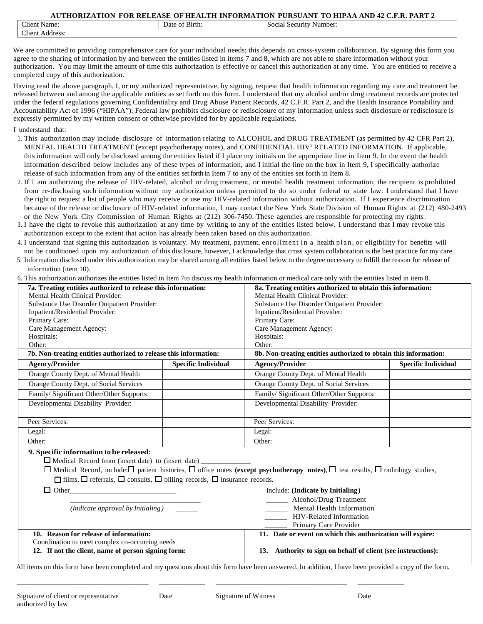| $-1$<br>Name:<br>Client    | $\sim$ $\sim$ $\sim$<br>Date<br>of Birth: : | Social<br>Number.<br>. Security |
|----------------------------|---------------------------------------------|---------------------------------|
| $-1$<br>Client<br>Address: |                                             |                                 |

We are committed to providing comprehensive care for your individual needs; this depends on cross-system collaboration. By signing this form you agree to the sharing of information by and between the entities listed in items 7 and 8, which are not able to share information without your authorization. You may limit the amount of time this authorization is effective or cancel this authorization at any time. You are entitled to receive a completed copy of this authorization.

Having read the above paragraph, I, or my authorized representative, by signing, request that health information regarding my care and treatment be released between and among the applicable entities as set forth on this form. I understand that my alcohol and/or drug treatment records are protected under the federal regulations governing Confidentiality and Drug Abuse Patient Records, 42 C.F.R. Part 2, and the Health Insurance Portability and Accountability Act of 1996 ("HIPAA"). Federal law prohibits disclosure or redisclosure of my information unless such disclosure or redisclosure is expressly permitted by my written consent or otherwise provided for by applicable regulations.

- I understand that:
- 1. This authorization may include disclosure of information relating to ALCOHOL and DRUG TREATMENT (as permitted by 42 CFR Part 2), MENTAL HEALTH TREATMENT (except psychotherapy notes), and CONFIDENTIAL HIV<sup>1</sup> RELATED INFORMATION. If applicable, this information will only be disclosed among the entities listed if I place my initials on the appropriate line in Item 9. In the event the health information described below includes any of these types of information, and I initial the line on the box in Item 9, I specifically authorize release of such information from any of the entities set forth in Item 7 to any of the entities set forth in Item 8.
- 2. If I am authorizing the release of HIV-related, alcohol or drug treatment, or mental health treatment information, the recipient is prohibited from re-disclosing such information without my authorization unless permitted to do so under federal or state law. I understand that I have the right to request a list of people who may receive or use my HIV-related information without authorization. If I experience discrimination because of the release or disclosure of HIV-related information, I may contact the New York State Division of Human Rights at (212) 480-2493 or the New York City Commission of Human Rights at (212) 306-7450. These agencies are responsible for protecting my rights.
- 3. I have the right to revoke this authorization at any time by writing to any of the entities listed below. I understand that I may revoke this authorization except to the extent that action has already been taken based on this authorization.
- 4. I understand that signing this authorization is voluntary. My treatment, payment, enrollment in a health plan, or eligibility for benefits will not be conditioned upon my authorization of this disclosure, however, I acknowledge that cross system collaboration is the best practice for my care.
- 5. Information disclosed under this authorization may be shared among all entities listed below to the degree necessary to fulfill the reason for release of information (item 10).
- 6. This authorization authorizes the entities listed in Item 7to discuss my health information or medical care only with the entities listed in item 8.

| 7a. Treating entities authorized to release this information:                                                                                                                                       |                            | 8a. Treating entities authorized to obtain this information:                                                                                               |                            |  |
|-----------------------------------------------------------------------------------------------------------------------------------------------------------------------------------------------------|----------------------------|------------------------------------------------------------------------------------------------------------------------------------------------------------|----------------------------|--|
| Mental Health Clinical Provider:                                                                                                                                                                    |                            | Mental Health Clinical Provider:                                                                                                                           |                            |  |
| Substance Use Disorder Outpatient Provider:                                                                                                                                                         |                            | Substance Use Disorder Outpatient Provider:                                                                                                                |                            |  |
| Inpatient/Residential Provider:                                                                                                                                                                     |                            | Inpatient/Residential Provider:                                                                                                                            |                            |  |
| Primary Care:                                                                                                                                                                                       |                            | Primary Care:                                                                                                                                              |                            |  |
| Care Management Agency:                                                                                                                                                                             |                            | Care Management Agency:                                                                                                                                    |                            |  |
| Hospitals:                                                                                                                                                                                          |                            | Hospitals:                                                                                                                                                 |                            |  |
| Other:                                                                                                                                                                                              |                            | Other:                                                                                                                                                     |                            |  |
| 7b. Non-treating entities authorized to release this information:                                                                                                                                   |                            | 8b. Non-treating entities authorized to obtain this information:                                                                                           |                            |  |
| Agency/Provider                                                                                                                                                                                     | <b>Specific Individual</b> | <b>Agency/Provider</b>                                                                                                                                     | <b>Specific Individual</b> |  |
| Orange County Dept. of Mental Health                                                                                                                                                                |                            | Orange County Dept. of Mental Health                                                                                                                       |                            |  |
| Orange County Dept. of Social Services                                                                                                                                                              |                            | Orange County Dept. of Social Services                                                                                                                     |                            |  |
| Family/Significant Other/Other Supports                                                                                                                                                             |                            | Family/ Significant Other/Other Supports:                                                                                                                  |                            |  |
| Developmental Disability Provider:                                                                                                                                                                  |                            | Developmental Disability Provider:                                                                                                                         |                            |  |
| Peer Services:                                                                                                                                                                                      |                            | Peer Services:                                                                                                                                             |                            |  |
| Legal:                                                                                                                                                                                              |                            | Legal:                                                                                                                                                     |                            |  |
| Other:                                                                                                                                                                                              |                            | Other:                                                                                                                                                     |                            |  |
| 9. Specific information to be released:<br>Medical Record from (insert date) to (insert date)<br>$\Box$ films, $\Box$ referrals, $\Box$ consults, $\Box$ billing records, $\Box$ insurance records. |                            | $\Box$ Medical Record, include: $\Box$ patient histories, $\Box$ office notes (except psychotherapy notes), $\Box$ test results, $\Box$ radiology studies, |                            |  |
| $\Box$ Other<br>Include: (Indicate by Initialing)                                                                                                                                                   |                            |                                                                                                                                                            |                            |  |
|                                                                                                                                                                                                     |                            | Alcohol/Drug Treatment                                                                                                                                     |                            |  |
| (Indicate approval by Initialing)                                                                                                                                                                   |                            | Mental Health Information                                                                                                                                  |                            |  |
|                                                                                                                                                                                                     |                            | HIV-Related Information                                                                                                                                    |                            |  |
|                                                                                                                                                                                                     |                            | Primary Care Provider                                                                                                                                      |                            |  |
| 10. Reason for release of information:                                                                                                                                                              |                            | 11. Date or event on which this authorization will expire:                                                                                                 |                            |  |
| Coordination to meet complex co-occurring needs                                                                                                                                                     |                            |                                                                                                                                                            |                            |  |
| 12. If not the client, name of person signing form:<br>13. Authority to sign on behalf of client (see instructions):                                                                                |                            |                                                                                                                                                            |                            |  |

completed and my questions about this form have been answered. In addition, I have been provided a copy of the form

\_\_\_\_\_\_\_\_\_\_\_\_\_\_\_\_\_\_\_\_\_\_\_\_\_\_\_\_\_\_\_\_\_\_\_\_\_ \_\_\_\_\_\_\_\_\_\_\_\_\_ \_\_\_\_\_\_\_\_\_\_\_\_\_\_\_\_\_\_\_\_\_\_\_\_\_\_\_\_\_\_\_\_\_\_\_\_\_ \_\_\_\_\_\_\_\_\_\_\_\_\_